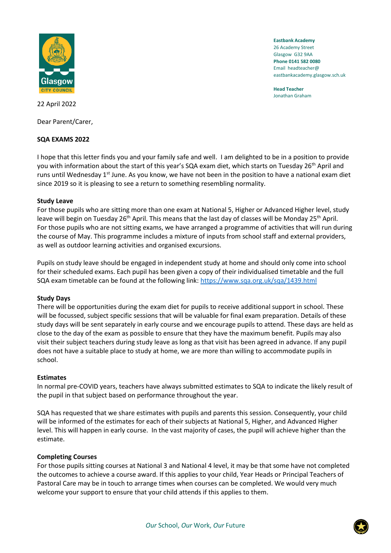

**Eastbank Academy** 26 Academy Street Glasgow G32 9AA **Phone 0141 582 0080** Email headteacher@ eastbankacademy.glasgow.sch.uk

**Head Teacher** Jonathan Graham

22 April 2022

Dear Parent/Carer,

# **SQA EXAMS 2022**

I hope that this letter finds you and your family safe and well. I am delighted to be in a position to provide you with information about the start of this year's SQA exam diet, which starts on Tuesday 26<sup>th</sup> April and runs until Wednesday 1<sup>st</sup> June. As you know, we have not been in the position to have a national exam diet since 2019 so it is pleasing to see a return to something resembling normality.

# **Study Leave**

For those pupils who are sitting more than one exam at National 5, Higher or Advanced Higher level, study leave will begin on Tuesday 26<sup>th</sup> April. This means that the last day of classes will be Monday 25<sup>th</sup> April. For those pupils who are not sitting exams, we have arranged a programme of activities that will run during the course of May. This programme includes a mixture of inputs from school staff and external providers, as well as outdoor learning activities and organised excursions.

Pupils on study leave should be engaged in independent study at home and should only come into school for their scheduled exams. Each pupil has been given a copy of their individualised timetable and the full SQA exam timetable can be found at the following link:<https://www.sqa.org.uk/sqa/1439.html>

### **Study Days**

There will be opportunities during the exam diet for pupils to receive additional support in school. These will be focussed, subject specific sessions that will be valuable for final exam preparation. Details of these study days will be sent separately in early course and we encourage pupils to attend. These days are held as close to the day of the exam as possible to ensure that they have the maximum benefit. Pupils may also visit their subject teachers during study leave as long as that visit has been agreed in advance. If any pupil does not have a suitable place to study at home, we are more than willing to accommodate pupils in school.

### **Estimates**

In normal pre-COVID years, teachers have always submitted estimates to SQA to indicate the likely result of the pupil in that subject based on performance throughout the year.

SQA has requested that we share estimates with pupils and parents this session. Consequently, your child will be informed of the estimates for each of their subjects at National 5, Higher, and Advanced Higher level. This will happen in early course. In the vast majority of cases, the pupil will achieve higher than the estimate.

### **Completing Courses**

For those pupils sitting courses at National 3 and National 4 level, it may be that some have not completed the outcomes to achieve a course award. If this applies to your child, Year Heads or Principal Teachers of Pastoral Care may be in touch to arrange times when courses can be completed. We would very much welcome your support to ensure that your child attends if this applies to them.